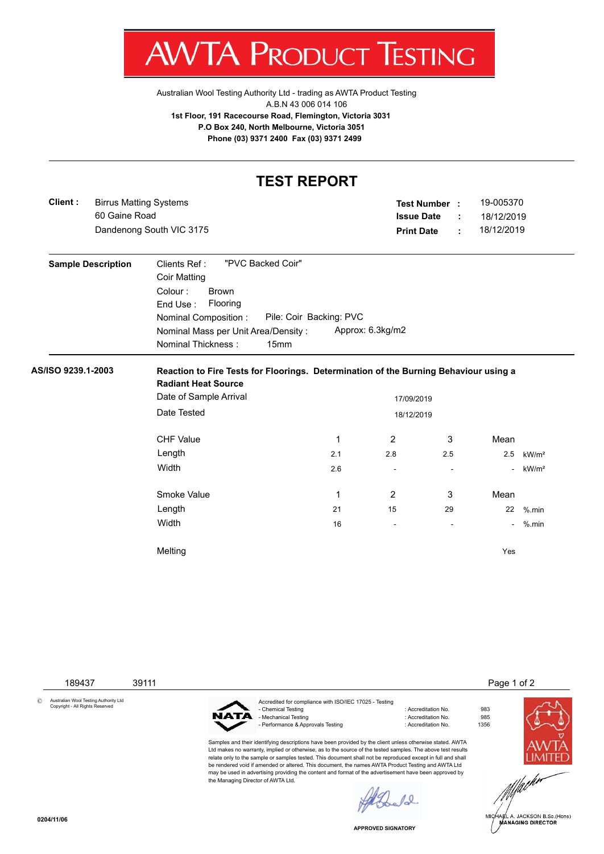

Australian Wool Testing Authority Ltd - trading as AWTA Product Testing A.B.N 43 006 014 106 **1st Floor, 191 Racecourse Road, Flemington, Victoria 3031 P.O Box 240, North Melbourne, Victoria 3051 Phone (03) 9371 2400 Fax (03) 9371 2499**

## **TEST REPORT**

|                    | 60 Gaine Road             | <b>Birrus Matting Systems</b><br>Dandenong South VIC 3175                                                                                                                                        |                                 | Test Number :<br><b>Issue Date</b><br><b>Print Date</b> | ÷<br>÷                   | 19-005370<br>18/12/2019<br>18/12/2019 |                   |
|--------------------|---------------------------|--------------------------------------------------------------------------------------------------------------------------------------------------------------------------------------------------|---------------------------------|---------------------------------------------------------|--------------------------|---------------------------------------|-------------------|
|                    | <b>Sample Description</b> | "PVC Backed Coir"<br>Clients Ref:<br><b>Coir Matting</b><br>Colour:<br><b>Brown</b><br>End Use:<br>Flooring<br>Nominal Composition:<br>Nominal Mass per Unit Area/Density:<br>Nominal Thickness: | Pile: Coir Backing: PVC<br>15mm | Approx: 6.3kg/m2                                        |                          |                                       |                   |
| AS/ISO 9239.1-2003 |                           | Reaction to Fire Tests for Floorings. Determination of the Burning Behaviour using a<br><b>Radiant Heat Source</b>                                                                               |                                 |                                                         |                          |                                       |                   |
|                    |                           | Date of Sample Arrival                                                                                                                                                                           |                                 | 17/09/2019                                              |                          |                                       |                   |
|                    |                           | Date Tested<br>18/12/2019                                                                                                                                                                        |                                 |                                                         |                          |                                       |                   |
|                    |                           |                                                                                                                                                                                                  |                                 |                                                         |                          |                                       |                   |
|                    |                           | <b>CHF Value</b>                                                                                                                                                                                 | 1                               | $\overline{2}$<br>3                                     |                          | Mean                                  |                   |
|                    |                           | Length                                                                                                                                                                                           | 2.1                             | 2.8<br>2.5                                              |                          | 2.5                                   | kW/m <sup>2</sup> |
|                    |                           | Width                                                                                                                                                                                            | 2.6                             |                                                         | $\overline{\phantom{a}}$ | $\blacksquare$                        | kW/m <sup>2</sup> |
|                    |                           | Smoke Value                                                                                                                                                                                      | 1                               | 3<br>2                                                  |                          | Mean                                  |                   |
|                    |                           | Length                                                                                                                                                                                           | 21                              | 15<br>29                                                |                          | 22                                    | $%$ .min          |
|                    |                           | Width                                                                                                                                                                                            | 16                              | $\overline{\phantom{a}}$                                | $\overline{\phantom{a}}$ | $\sim$                                | $%$ .min          |

189437 39111 Page 1 of 2

© Australian Wool Testing Authority Ltd Copyright - All Rights Reserved



Accredited for compliance with ISO/IEC 17025 - Testing - Chemical Testing : Accreditation No. 983 - Mechanical Testing - Performance & Approvals Testing in the match of the control of Accreditation No. 1356

Samples and their identifying descriptions have been provided by the client unless otherwise stated. AWTA Ltd makes no warranty, implied or otherwise, as to the source of the tested samples. The above test results relate only to the sample or samples tested. This document shall not be reproduced except in full and shall be rendered void if amended or altered. This document, the names AWTA Product Testing and AWTA Ltd may be used in advertising providing the content and format of the advertisement have been approved by the Managing Director of AWTA Ltd.



**APPROVED SIGNATORY**

 $\ell$